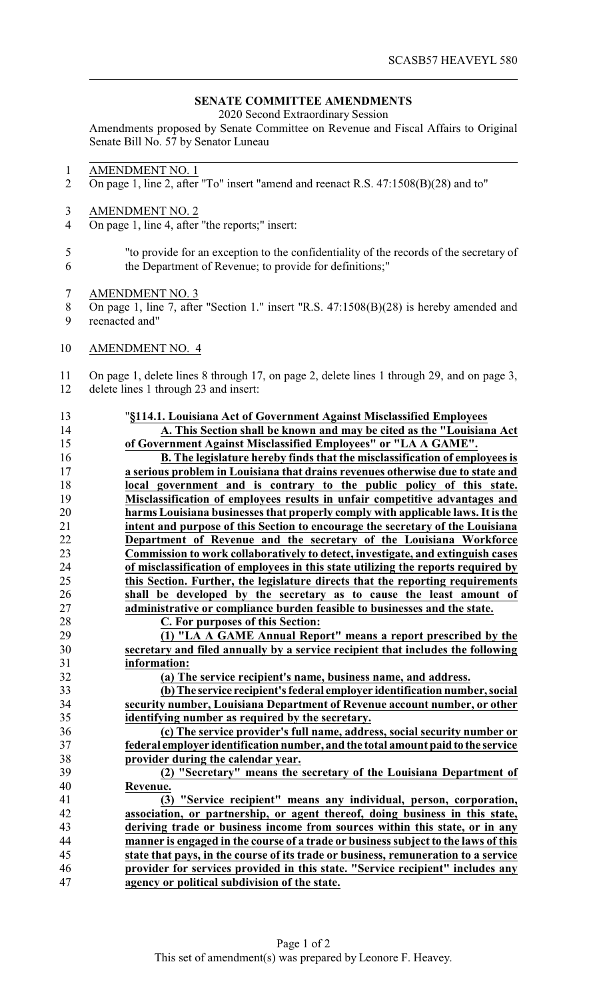## **SENATE COMMITTEE AMENDMENTS**

2020 Second Extraordinary Session

Amendments proposed by Senate Committee on Revenue and Fiscal Affairs to Original Senate Bill No. 57 by Senator Luneau

- AMENDMENT NO. 1
- On page 1, line 2, after "To" insert "amend and reenact R.S. 47:1508(B)(28) and to"
- AMENDMENT NO. 2
- On page 1, line 4, after "the reports;" insert:
- "to provide for an exception to the confidentiality of the records of the secretary of the Department of Revenue; to provide for definitions;"
- AMENDMENT NO. 3
- On page 1, line 7, after "Section 1." insert "R.S. 47:1508(B)(28) is hereby amended and
- reenacted and"
- AMENDMENT NO. 4

 On page 1, delete lines 8 through 17, on page 2, delete lines 1 through 29, and on page 3, delete lines 1 through 23 and insert:

## "**§114.1. Louisiana Act of Government Against Misclassified Employees A. This Section shall be known and may be cited as the "Louisiana Act of Government Against Misclassified Employees" or "LA A GAME". B. The legislature hereby finds that the misclassification of employees is a serious problem in Louisiana that drains revenues otherwise due to state and local government and is contrary to the public policy of this state.** 19 **Misclassification of employees results in unfair competitive advantages and**<br>20 **harms Louisiana businesses that properly comply with applicable laws. It is the harms Louisiana businesses that properly comply with applicable laws. It is the intent and purpose of this Section to encourage the secretary of the Louisiana Department of Revenue and the secretary of the Louisiana Workforce Commission to work collaboratively to detect, investigate, and extinguish cases of misclassification of employees in this state utilizing the reports required by this Section. Further, the legislature directs that the reporting requirements shall be developed by the secretary as to cause the least amount of administrative or compliance burden feasible to businesses and the state. C. For purposes of this Section: (1) "LA A GAME Annual Report" means a report prescribed by the secretary and filed annually by a service recipient that includes the following information: (a) The service recipient's name, business name, and address. (b)The service recipient's federal employer identification number, social security number, Louisiana Department of Revenue account number, or other identifying number as required by the secretary. (c) The service provider's full name, address, social security number or federal employer identification number, and the total amount paidto the service provider during the calendar year. (2) "Secretary" means the secretary of the Louisiana Department of Revenue. (3) "Service recipient" means any individual, person, corporation, association, or partnership, or agent thereof, doing business in this state, deriving trade or business income from sources within this state, or in any manner is engaged in the course of a trade or business subject to the laws of this state that pays, in the course of its trade or business, remuneration to a service provider for services provided in this state. "Service recipient" includes any agency or political subdivision of the state.**